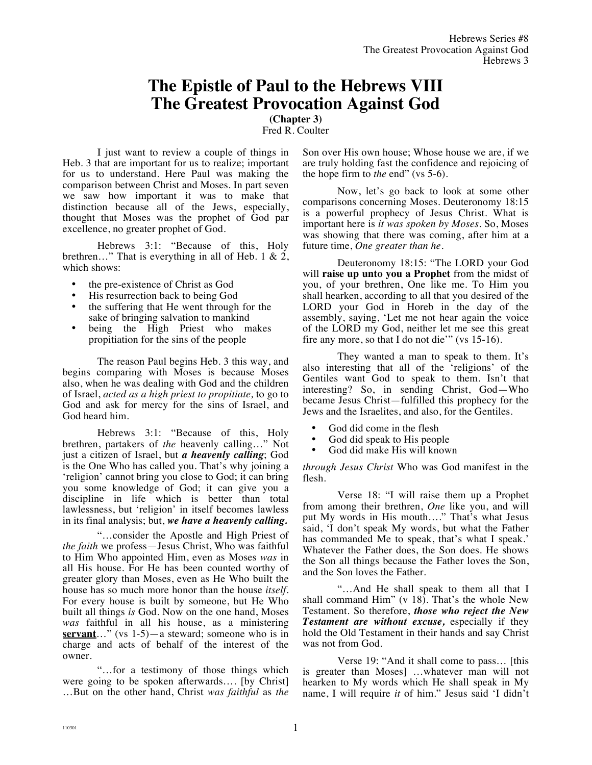## **The Epistle of Paul to the Hebrews VIII The Greatest Provocation Against God**

**(Chapter 3)** Fred R. Coulter

I just want to review a couple of things in Heb. 3 that are important for us to realize; important for us to understand. Here Paul was making the comparison between Christ and Moses. In part seven we saw how important it was to make that distinction because all of the Jews, especially, thought that Moses was the prophet of God par excellence, no greater prophet of God.

Hebrews 3:1: "Because of this, Holy brethren..." That is everything in all of Heb. 1 & 2, which shows:

- the pre-existence of Christ as God
- His resurrection back to being God
- the suffering that He went through for the sake of bringing salvation to mankind
- being the High Priest who makes propitiation for the sins of the people

The reason Paul begins Heb. 3 this way, and begins comparing with Moses is because Moses also, when he was dealing with God and the children of Israel, *acted as a high priest to propitiate,* to go to God and ask for mercy for the sins of Israel, and God heard him.

Hebrews 3:1: "Because of this, Holy brethren, partakers of *the* heavenly calling…" Not just a citizen of Israel, but *a heavenly calling*; God is the One Who has called you. That's why joining a 'religion' cannot bring you close to God; it can bring you some knowledge of God; it can give you a discipline in life which is better than total lawlessness, but 'religion' in itself becomes lawless in its final analysis; but, *we have a heavenly calling.*

"…consider the Apostle and High Priest of *the faith* we profess—Jesus Christ, Who was faithful to Him Who appointed Him, even as Moses *was* in all His house. For He has been counted worthy of greater glory than Moses, even as He Who built the house has so much more honor than the house *itself*. For every house is built by someone, but He Who built all things *is* God. Now on the one hand, Moses *was* faithful in all his house, as a ministering **servant**…" (vs 1-5)—a steward; someone who is in charge and acts of behalf of the interest of the owner.

"…for a testimony of those things which were going to be spoken afterwards…. [by Christ] …But on the other hand, Christ *was faithful* as *the* Son over His own house; Whose house we are, if we are truly holding fast the confidence and rejoicing of the hope firm to *the* end" (vs 5-6).

Now, let's go back to look at some other comparisons concerning Moses. Deuteronomy 18:15 is a powerful prophecy of Jesus Christ. What is important here is *it was spoken by Moses.* So, Moses was showing that there was coming, after him at a future time, *One greater than he.*

Deuteronomy 18:15: "The LORD your God will **raise up unto you a Prophet** from the midst of you, of your brethren, One like me. To Him you shall hearken, according to all that you desired of the LORD your God in Horeb in the day of the assembly, saying, 'Let me not hear again the voice of the LORD my God, neither let me see this great fire any more, so that I do not die'" (vs 15-16).

They wanted a man to speak to them. It's also interesting that all of the 'religions' of the Gentiles want God to speak to them. Isn't that interesting? So, in sending Christ, God—Who became Jesus Christ—fulfilled this prophecy for the Jews and the Israelites, and also, for the Gentiles.

- God did come in the flesh
- God did speak to His people
- God did make His will known

*through Jesus Christ* Who was God manifest in the flesh.

Verse 18: "I will raise them up a Prophet from among their brethren, *One* like you, and will put My words in His mouth…." That's what Jesus said, 'I don't speak My words, but what the Father has commanded Me to speak, that's what I speak.' Whatever the Father does, the Son does. He shows the Son all things because the Father loves the Son, and the Son loves the Father.

"…And He shall speak to them all that I shall command Him" (v 18). That's the whole New Testament. So therefore, *those who reject the New Testament are without excuse,* especially if they hold the Old Testament in their hands and say Christ was not from God.

Verse 19: "And it shall come to pass… [this is greater than Moses] …whatever man will not hearken to My words which He shall speak in My name, I will require *it* of him." Jesus said 'I didn't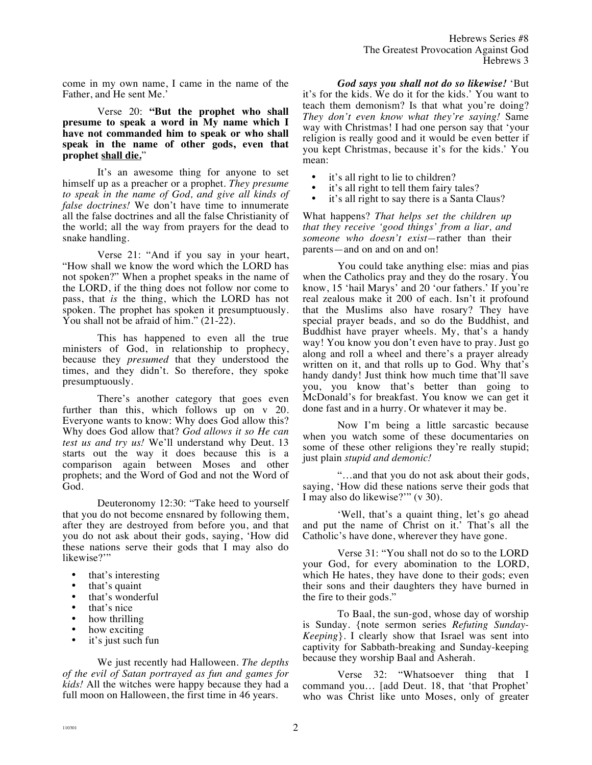come in my own name, I came in the name of the Father, and He sent Me.'

Verse 20: **"But the prophet who shall presume to speak a word in My name which I have not commanded him to speak or who shall speak in the name of other gods, even that prophet shall die.**"

It's an awesome thing for anyone to set himself up as a preacher or a prophet. *They presume to speak in the name of God, and give all kinds of false doctrines!* We don't have time to innumerate all the false doctrines and all the false Christianity of the world; all the way from prayers for the dead to snake handling.

Verse 21: "And if you say in your heart, "How shall we know the word which the LORD has not spoken?" When a prophet speaks in the name of the LORD, if the thing does not follow nor come to pass, that *is* the thing, which the LORD has not spoken. The prophet has spoken it presumptuously. You shall not be afraid of him."  $(21-22)$ .

This has happened to even all the true ministers of God, in relationship to prophecy, because they *presumed* that they understood the times, and they didn't. So therefore, they spoke presumptuously.

There's another category that goes even further than this, which follows up on v 20. Everyone wants to know: Why does God allow this? Why does God allow that? *God allows it so He can test us and try us!* We'll understand why Deut. 13 starts out the way it does because this is a comparison again between Moses and other prophets; and the Word of God and not the Word of God.

Deuteronomy 12:30: "Take heed to yourself that you do not become ensnared by following them, after they are destroyed from before you, and that you do not ask about their gods, saying, 'How did these nations serve their gods that I may also do likewise?"

- that's interesting
- that's quaint
- that's wonderful
- that's nice
- how thrilling
- how exciting
- it's just such fun

We just recently had Halloween. *The depths of the evil of Satan portrayed as fun and games for kids!* All the witches were happy because they had a full moon on Halloween, the first time in 46 years.

*God says you shall not do so likewise!* 'But it's for the kids. We do it for the kids.' You want to teach them demonism? Is that what you're doing? *They don't even know what they're saying!* Same way with Christmas! I had one person say that 'your religion is really good and it would be even better if you kept Christmas, because it's for the kids.' You mean:

- it's all right to lie to children?
- it's all right to tell them fairy tales?<br>• it's all right to say there is a Santa C
- it's all right to say there is a Santa Claus?

What happens? *That helps set the children up that they receive 'good things' from a liar, and someone who doesn't exist—*rather than their parents—and on and on and on!

You could take anything else: mias and pias when the Catholics pray and they do the rosary. You know, 15 'hail Marys' and 20 'our fathers.' If you're real zealous make it 200 of each. Isn't it profound that the Muslims also have rosary? They have special prayer beads, and so do the Buddhist, and Buddhist have prayer wheels. My, that's a handy way! You know you don't even have to pray. Just go along and roll a wheel and there's a prayer already written on it, and that rolls up to God. Why that's handy dandy! Just think how much time that'll save you, you know that's better than going to McDonald's for breakfast. You know we can get it done fast and in a hurry. Or whatever it may be.

Now I'm being a little sarcastic because when you watch some of these documentaries on some of these other religions they're really stupid; just plain *stupid and demonic!*

"…and that you do not ask about their gods, saying, 'How did these nations serve their gods that I may also do likewise?'" (v 30).

'Well, that's a quaint thing, let's go ahead and put the name of Christ on it.' That's all the Catholic's have done, wherever they have gone.

Verse 31: "You shall not do so to the LORD your God, for every abomination to the LORD, which He hates, they have done to their gods; even their sons and their daughters they have burned in the fire to their gods."

To Baal, the sun-god, whose day of worship is Sunday. {note sermon series *Refuting Sunday-Keeping*}. I clearly show that Israel was sent into captivity for Sabbath-breaking and Sunday-keeping because they worship Baal and Asherah.

Verse 32: "Whatsoever thing that I command you… [add Deut. 18, that 'that Prophet' who was Christ like unto Moses, only of greater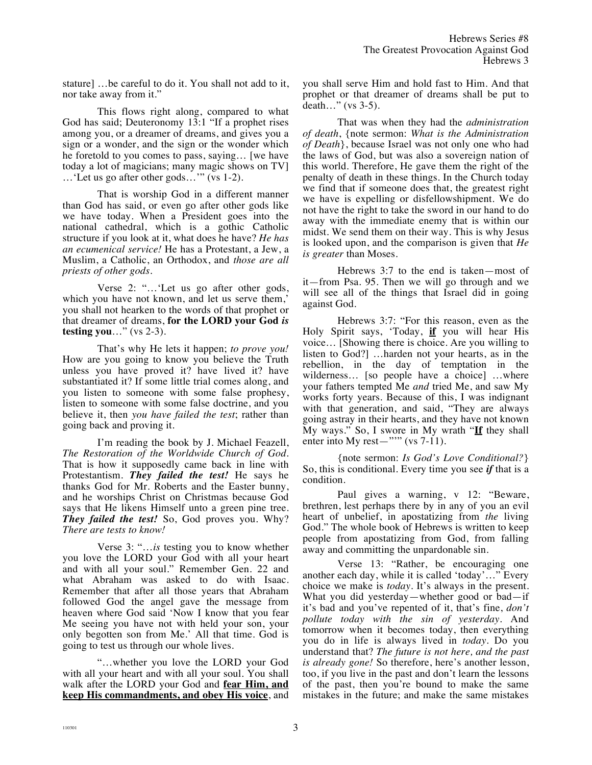stature] …be careful to do it. You shall not add to it, nor take away from it."

This flows right along, compared to what God has said; Deuteronomy 13:1 "If a prophet rises among you, or a dreamer of dreams, and gives you a sign or a wonder, and the sign or the wonder which he foretold to you comes to pass, saying… [we have today a lot of magicians; many magic shows on TV] …'Let us go after other gods…'" (vs 1-2).

That is worship God in a different manner than God has said, or even go after other gods like we have today. When a President goes into the national cathedral, which is a gothic Catholic structure if you look at it, what does he have? *He has an ecumenical service!* He has a Protestant, a Jew, a Muslim, a Catholic, an Orthodox, and *those are all priests of other gods.* 

Verse 2: "…'Let us go after other gods, which you have not known, and let us serve them,' you shall not hearken to the words of that prophet or that dreamer of dreams, **for the LORD your God** *is* **testing you**…" (vs 2-3).

That's why He lets it happen; *to prove you!* How are you going to know you believe the Truth unless you have proved it? have lived it? have substantiated it? If some little trial comes along, and you listen to someone with some false prophesy, listen to someone with some false doctrine, and you believe it, then *you have failed the test*; rather than going back and proving it.

I'm reading the book by J. Michael Feazell, *The Restoration of the Worldwide Church of God*. That is how it supposedly came back in line with Protestantism. *They failed the test!* He says he thanks God for Mr. Roberts and the Easter bunny, and he worships Christ on Christmas because God says that He likens Himself unto a green pine tree. *They failed the test!* So, God proves you. Why? *There are tests to know!*

Verse 3: "…*is* testing you to know whether you love the LORD your God with all your heart and with all your soul." Remember Gen. 22 and what Abraham was asked to do with Isaac. Remember that after all those years that Abraham followed God the angel gave the message from heaven where God said 'Now I know that you fear Me seeing you have not with held your son, your only begotten son from Me.' All that time. God is going to test us through our whole lives.

"…whether you love the LORD your God with all your heart and with all your soul. You shall walk after the LORD your God and **fear Him, and keep His commandments, and obey His voice**, and you shall serve Him and hold fast to Him. And that prophet or that dreamer of dreams shall be put to death…" (vs 3-5).

That was when they had the *administration of death*, {note sermon: *What is the Administration of Death*}, because Israel was not only one who had the laws of God, but was also a sovereign nation of this world. Therefore, He gave them the right of the penalty of death in these things. In the Church today we find that if someone does that, the greatest right we have is expelling or disfellowshipment. We do not have the right to take the sword in our hand to do away with the immediate enemy that is within our midst. We send them on their way. This is why Jesus is looked upon, and the comparison is given that *He is greater* than Moses.

Hebrews 3:7 to the end is taken—most of it—from Psa. 95. Then we will go through and we will see all of the things that Israel did in going against God.

Hebrews 3:7: "For this reason, even as the Holy Spirit says, 'Today, **if** you will hear His voice… [Showing there is choice. Are you willing to listen to God?] …harden not your hearts, as in the rebellion, in the day of temptation in the wilderness… [so people have a choice] …where your fathers tempted Me *and* tried Me, and saw My works forty years. Because of this, I was indignant with that generation, and said, "They are always going astray in their hearts, and they have not known My ways." So, I swore in My wrath "**If** they shall enter into My rest—"" (vs  $7-11$ ).

{note sermon: *Is God's Love Conditional?*} So, this is conditional. Every time you see *if* that is a condition.

Paul gives a warning, v 12: "Beware, brethren, lest perhaps there by in any of you an evil heart of unbelief, in apostatizing from *the* living God." The whole book of Hebrews is written to keep people from apostatizing from God, from falling away and committing the unpardonable sin.

Verse 13: "Rather, be encouraging one another each day, while it is called 'today'…" Every choice we make is *today*. It's always in the present. What you did yesterday—whether good or bad—if it's bad and you've repented of it, that's fine, *don't pollute today with the sin of yesterday.* And tomorrow when it becomes today, then everything you do in life is always lived in *today*. Do you understand that? *The future is not here, and the past is already gone!* So therefore, here's another lesson, too, if you live in the past and don't learn the lessons of the past, then you're bound to make the same mistakes in the future; and make the same mistakes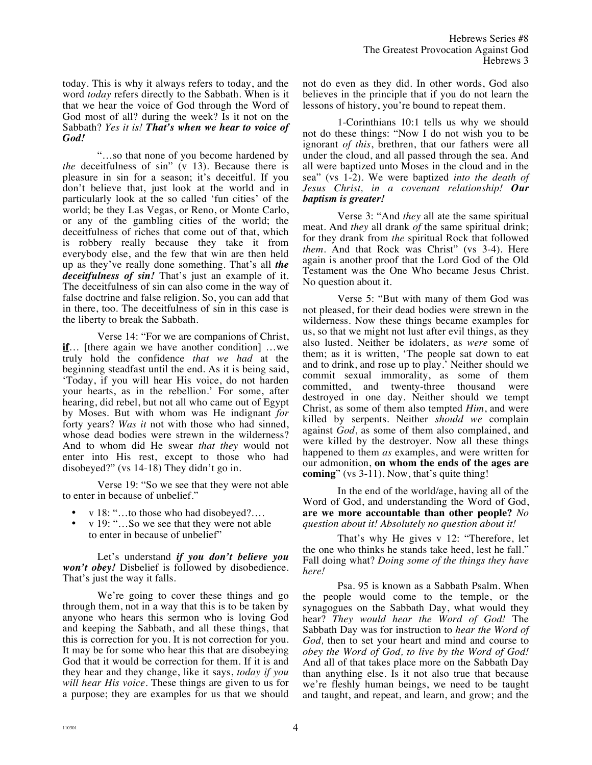today. This is why it always refers to today, and the word *today* refers directly to the Sabbath. When is it that we hear the voice of God through the Word of God most of all? during the week? Is it not on the Sabbath? *Yes it is! That's when we hear to voice of God!* 

"…so that none of you become hardened by *the* deceitfulness of sin" (v 13). Because there is pleasure in sin for a season; it's deceitful. If you don't believe that, just look at the world and in particularly look at the so called 'fun cities' of the world; be they Las Vegas, or Reno, or Monte Carlo, or any of the gambling cities of the world; the deceitfulness of riches that come out of that, which is robbery really because they take it from everybody else, and the few that win are then held up as they've really done something. That's all *the deceitfulness of sin!* That's just an example of it. The deceitfulness of sin can also come in the way of false doctrine and false religion. So, you can add that in there, too. The deceitfulness of sin in this case is the liberty to break the Sabbath.

Verse 14: "For we are companions of Christ, **if**… [there again we have another condition] …we truly hold the confidence *that we had* at the beginning steadfast until the end. As it is being said, 'Today, if you will hear His voice, do not harden your hearts, as in the rebellion.' For some, after hearing, did rebel, but not all who came out of Egypt by Moses. But with whom was He indignant *for* forty years? *Was it* not with those who had sinned, whose dead bodies were strewn in the wilderness? And to whom did He swear *that they* would not enter into His rest, except to those who had disobeyed?" (vs 14-18) They didn't go in.

Verse 19: "So we see that they were not able to enter in because of unbelief."

- v 18: "...to those who had disobeyed?...
- v 19: "…So we see that they were not able to enter in because of unbelief"

Let's understand *if you don't believe you won't obey!* Disbelief is followed by disobedience. That's just the way it falls.

We're going to cover these things and go through them, not in a way that this is to be taken by anyone who hears this sermon who is loving God and keeping the Sabbath, and all these things, that this is correction for you. It is not correction for you. It may be for some who hear this that are disobeying God that it would be correction for them. If it is and they hear and they change, like it says, *today if you will hear His voice.* These things are given to us for a purpose; they are examples for us that we should not do even as they did. In other words, God also believes in the principle that if you do not learn the lessons of history, you're bound to repeat them.

1-Corinthians 10:1 tells us why we should not do these things: "Now I do not wish you to be ignorant *of this*, brethren, that our fathers were all under the cloud, and all passed through the sea. And all were baptized unto Moses in the cloud and in the sea" (vs 1-2). We were baptized *into the death of Jesus Christ, in a covenant relationship! Our baptism is greater!*

Verse 3: "And *they* all ate the same spiritual meat. And *they* all drank *of* the same spiritual drink; for they drank from *the* spiritual Rock that followed *them*. And that Rock was Christ" (vs 3-4). Here again is another proof that the Lord God of the Old Testament was the One Who became Jesus Christ. No question about it.

Verse 5: "But with many of them God was not pleased, for their dead bodies were strewn in the wilderness. Now these things became examples for us, so that we might not lust after evil things, as they also lusted. Neither be idolaters, as *were* some of them; as it is written, 'The people sat down to eat and to drink, and rose up to play.' Neither should we commit sexual immorality, as some of them committed, and twenty-three thousand were destroyed in one day. Neither should we tempt Christ, as some of them also tempted *Him*, and were killed by serpents. Neither *should we* complain against *God*, as some of them also complained, and were killed by the destroyer. Now all these things happened to them *as* examples, and were written for our admonition, **on whom the ends of the ages are coming**" (vs 3-11). Now, that's quite thing!

In the end of the world/age, having all of the Word of God, and understanding the Word of God, **are we more accountable than other people?** *No question about it! Absolutely no question about it!*

That's why He gives v 12: "Therefore, let the one who thinks he stands take heed, lest he fall." Fall doing what? *Doing some of the things they have here!* 

Psa. 95 is known as a Sabbath Psalm. When the people would come to the temple, or the synagogues on the Sabbath Day, what would they hear? *They would hear the Word of God!* The Sabbath Day was for instruction to *hear the Word of God,* then to set your heart and mind and course to *obey the Word of God, to live by the Word of God!* And all of that takes place more on the Sabbath Day than anything else. Is it not also true that because we're fleshly human beings, we need to be taught and taught, and repeat, and learn, and grow; and the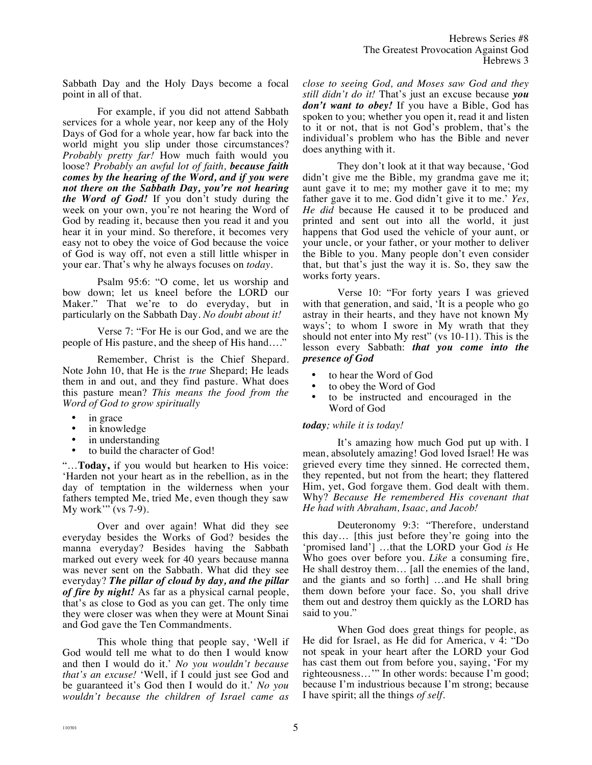Sabbath Day and the Holy Days become a focal point in all of that.

For example, if you did not attend Sabbath services for a whole year, nor keep any of the Holy Days of God for a whole year, how far back into the world might you slip under those circumstances? *Probably pretty far!* How much faith would you loose? *Probably an awful lot of faith, because faith comes by the hearing of the Word, and if you were not there on the Sabbath Day, you're not hearing the Word of God!* If you don't study during the week on your own, you're not hearing the Word of God by reading it, because then you read it and you hear it in your mind. So therefore, it becomes very easy not to obey the voice of God because the voice of God is way off, not even a still little whisper in your ear. That's why he always focuses on *today*.

Psalm 95:6: "O come, let us worship and bow down; let us kneel before the LORD our Maker." That we're to do everyday, but in particularly on the Sabbath Day. *No doubt about it!*

Verse 7: "For He is our God, and we are the people of His pasture, and the sheep of His hand…."

Remember, Christ is the Chief Shepard. Note John 10, that He is the *true* Shepard; He leads them in and out, and they find pasture. What does this pasture mean? *This means the food from the Word of God to grow spiritually* 

- in grace
- in knowledge
- in understanding
- to build the character of God!

"…**Today,** if you would but hearken to His voice: 'Harden not your heart as in the rebellion, as in the day of temptation in the wilderness when your fathers tempted Me, tried Me, even though they saw My work'" (vs 7-9).

Over and over again! What did they see everyday besides the Works of God? besides the manna everyday? Besides having the Sabbath marked out every week for 40 years because manna was never sent on the Sabbath. What did they see everyday? *The pillar of cloud by day, and the pillar of fire by night!* As far as a physical carnal people, that's as close to God as you can get. The only time they were closer was when they were at Mount Sinai and God gave the Ten Commandments.

This whole thing that people say, 'Well if God would tell me what to do then I would know and then I would do it.' *No you wouldn't because that's an excuse!* 'Well, if I could just see God and be guaranteed it's God then I would do it.' *No you wouldn't because the children of Israel came as*  *close to seeing God, and Moses saw God and they still didn't do it!* That's just an excuse because *you don't want to obey!* If you have a Bible, God has spoken to you; whether you open it, read it and listen to it or not, that is not God's problem, that's the individual's problem who has the Bible and never does anything with it.

They don't look at it that way because, 'God didn't give me the Bible, my grandma gave me it; aunt gave it to me; my mother gave it to me; my father gave it to me. God didn't give it to me.' *Yes, He did* because He caused it to be produced and printed and sent out into all the world, it just happens that God used the vehicle of your aunt, or your uncle, or your father, or your mother to deliver the Bible to you. Many people don't even consider that, but that's just the way it is. So, they saw the works forty years.

Verse 10: "For forty years I was grieved with that generation, and said, 'It is a people who go astray in their hearts, and they have not known My ways'; to whom I swore in My wrath that they should not enter into My rest" (vs 10-11). This is the lesson every Sabbath: *that you come into the presence of God*

- to hear the Word of God
- to obey the Word of God
- to be instructed and encouraged in the Word of God

## *today; while it is today!*

It's amazing how much God put up with. I mean, absolutely amazing! God loved Israel! He was grieved every time they sinned. He corrected them, they repented, but not from the heart; they flattered Him, yet, God forgave them. God dealt with them. Why? *Because He remembered His covenant that He had with Abraham, Isaac, and Jacob!*

Deuteronomy 9:3: "Therefore, understand this day… [this just before they're going into the 'promised land'] …that the LORD your God *is* He Who goes over before you. *Like* a consuming fire, He shall destroy them… [all the enemies of the land, and the giants and so forth] …and He shall bring them down before your face. So, you shall drive them out and destroy them quickly as the LORD has said to you."

When God does great things for people, as He did for Israel, as He did for America, v 4: "Do not speak in your heart after the LORD your God has cast them out from before you, saying, 'For my righteousness…'" In other words: because I'm good; because I'm industrious because I'm strong; because I have spirit; all the things *of self*.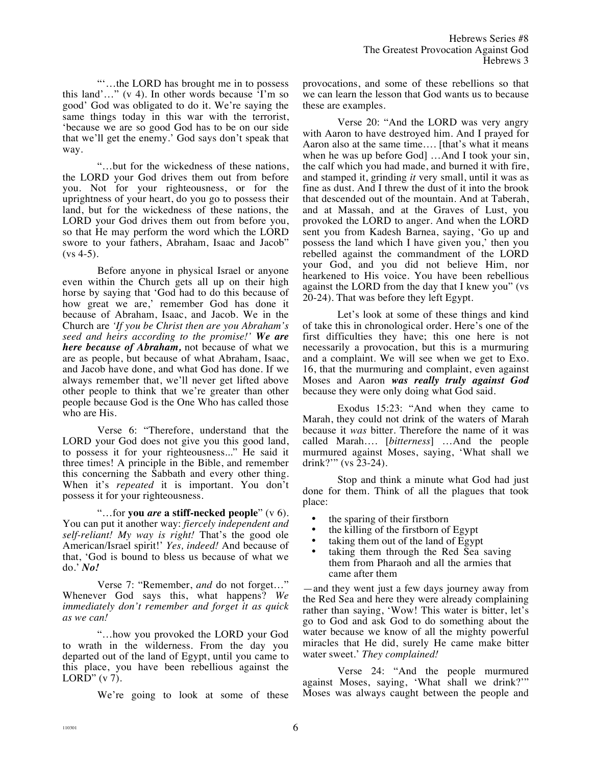"'…the LORD has brought me in to possess this land'..." (v 4). In other words because  $\overline{Y}$ m so good' God was obligated to do it. We're saying the same things today in this war with the terrorist, 'because we are so good God has to be on our side that we'll get the enemy.' God says don't speak that way.

"…but for the wickedness of these nations, the LORD your God drives them out from before you. Not for your righteousness, or for the uprightness of your heart, do you go to possess their land, but for the wickedness of these nations, the LORD your God drives them out from before you, so that He may perform the word which the LORD swore to your fathers, Abraham, Isaac and Jacob"  $(vs 4-5)$ .

Before anyone in physical Israel or anyone even within the Church gets all up on their high horse by saying that 'God had to do this because of how great we are,' remember God has done it because of Abraham, Isaac, and Jacob. We in the Church are *'If you be Christ then are you Abraham's seed and heirs according to the promise!' We are here because of Abraham,* not because of what we are as people, but because of what Abraham, Isaac, and Jacob have done, and what God has done. If we always remember that, we'll never get lifted above other people to think that we're greater than other people because God is the One Who has called those who are His.

Verse 6: "Therefore, understand that the LORD your God does not give you this good land, to possess it for your righteousness..." He said it three times! A principle in the Bible, and remember this concerning the Sabbath and every other thing. When it's *repeated* it is important. You don't possess it for your righteousness.

"…for **you** *are* **a stiff-necked people**" (v 6). You can put it another way: *fiercely independent and self-reliant! My way is right!* That's the good ole American/Israel spirit!' *Yes, indeed!* And because of that, 'God is bound to bless us because of what we do.' *No!*

Verse 7: "Remember, *and* do not forget…" Whenever God says this, what happens? *We immediately don't remember and forget it as quick as we can!*

"…how you provoked the LORD your God to wrath in the wilderness. From the day you departed out of the land of Egypt, until you came to this place, you have been rebellious against the LORD"  $(v 7)$ .

We're going to look at some of these

provocations, and some of these rebellions so that we can learn the lesson that God wants us to because these are examples.

Verse 20: "And the LORD was very angry with Aaron to have destroyed him. And I prayed for Aaron also at the same time…. [that's what it means when he was up before God] …And I took your sin, the calf which you had made, and burned it with fire, and stamped it, grinding *it* very small, until it was as fine as dust. And I threw the dust of it into the brook that descended out of the mountain. And at Taberah, and at Massah, and at the Graves of Lust, you provoked the LORD to anger. And when the LORD sent you from Kadesh Barnea, saying, 'Go up and possess the land which I have given you,' then you rebelled against the commandment of the LORD your God, and you did not believe Him, nor hearkened to His voice. You have been rebellious against the LORD from the day that I knew you" (vs 20-24). That was before they left Egypt.

Let's look at some of these things and kind of take this in chronological order. Here's one of the first difficulties they have; this one here is not necessarily a provocation, but this is a murmuring and a complaint. We will see when we get to Exo. 16, that the murmuring and complaint, even against Moses and Aaron *was really truly against God* because they were only doing what God said.

Exodus 15:23: "And when they came to Marah, they could not drink of the waters of Marah because it *was* bitter. Therefore the name of it was called Marah…. [*bitterness*] …And the people murmured against Moses, saying, 'What shall we drink?'" (vs 23-24).

Stop and think a minute what God had just done for them. Think of all the plagues that took place:

- the sparing of their firstborn
- the killing of the firstborn of Egypt<br>• taking them out of the land of Egypt
- taking them out of the land of Egypt
- taking them through the Red Sea saving them from Pharaoh and all the armies that came after them

—and they went just a few days journey away from the Red Sea and here they were already complaining rather than saying, 'Wow! This water is bitter, let's go to God and ask God to do something about the water because we know of all the mighty powerful miracles that He did, surely He came make bitter water sweet.' *They complained!*

Verse 24: "And the people murmured against Moses, saying, 'What shall we drink?'" Moses was always caught between the people and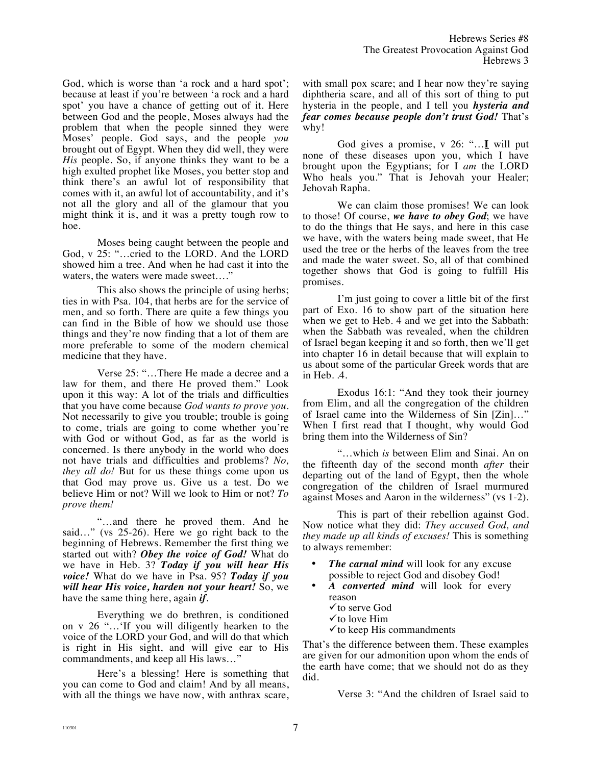God, which is worse than 'a rock and a hard spot'; because at least if you're between 'a rock and a hard spot' you have a chance of getting out of it. Here between God and the people, Moses always had the problem that when the people sinned they were Moses' people. God says, and the people *you* brought out of Egypt. When they did well, they were *His* people. So, if anyone thinks they want to be a high exulted prophet like Moses, you better stop and think there's an awful lot of responsibility that comes with it, an awful lot of accountability, and it's not all the glory and all of the glamour that you might think it is, and it was a pretty tough row to hoe.

Moses being caught between the people and God, v 25: "…cried to the LORD. And the LORD showed him a tree. And when he had cast it into the waters, the waters were made sweet....'

This also shows the principle of using herbs; ties in with Psa. 104, that herbs are for the service of men, and so forth. There are quite a few things you can find in the Bible of how we should use those things and they're now finding that a lot of them are more preferable to some of the modern chemical medicine that they have.

Verse 25: "…There He made a decree and a law for them, and there He proved them." Look upon it this way: A lot of the trials and difficulties that you have come because *God wants to prove you.*  Not necessarily to give you trouble; trouble is going to come, trials are going to come whether you're with God or without God, as far as the world is concerned. Is there anybody in the world who does not have trials and difficulties and problems? *No, they all do!* But for us these things come upon us that God may prove us. Give us a test. Do we believe Him or not? Will we look to Him or not? *To prove them!*

"…and there he proved them. And he said…" (vs 25-26). Here we go right back to the beginning of Hebrews. Remember the first thing we started out with? *Obey the voice of God!* What do we have in Heb. 3? *Today if you will hear His voice!* What do we have in Psa. 95? *Today if you will hear His voice, harden not your heart!* So, we have the same thing here, again *if*.

Everything we do brethren, is conditioned on v 26 "…'If you will diligently hearken to the voice of the LORD your God, and will do that which is right in His sight, and will give ear to His commandments, and keep all His laws…"

Here's a blessing! Here is something that you can come to God and claim! And by all means, with all the things we have now, with anthrax scare,

with small pox scare; and I hear now they're saying diphtheria scare, and all of this sort of thing to put hysteria in the people, and I tell you *hysteria and fear comes because people don't trust God!* That's why!

God gives a promise, v 26: "…**I** will put none of these diseases upon you, which I have brought upon the Egyptians; for I *am* the LORD Who heals you." That is Jehovah your Healer; Jehovah Rapha.

We can claim those promises! We can look to those! Of course, *we have to obey God*; we have to do the things that He says, and here in this case we have, with the waters being made sweet, that He used the tree or the herbs of the leaves from the tree and made the water sweet. So, all of that combined together shows that God is going to fulfill His promises.

I'm just going to cover a little bit of the first part of Exo. 16 to show part of the situation here when we get to Heb. 4 and we get into the Sabbath: when the Sabbath was revealed, when the children of Israel began keeping it and so forth, then we'll get into chapter 16 in detail because that will explain to us about some of the particular Greek words that are in Heb. .4.

Exodus 16:1: "And they took their journey from Elim, and all the congregation of the children of Israel came into the Wilderness of Sin [Zin]…" When I first read that I thought, why would God bring them into the Wilderness of Sin?

"…which *is* between Elim and Sinai. An on the fifteenth day of the second month *after* their departing out of the land of Egypt, then the whole congregation of the children of Israel murmured against Moses and Aaron in the wilderness" (vs 1-2).

This is part of their rebellion against God. Now notice what they did: *They accused God, and they made up all kinds of excuses!* This is something to always remember:

- *The carnal mind* will look for any excuse possible to reject God and disobey God!
- *A converted mind* will look for every reason
	- $\checkmark$  to serve God
	- $\checkmark$  to love Him
	- $\checkmark$  to keep His commandments

That's the difference between them. These examples are given for our admonition upon whom the ends of the earth have come; that we should not do as they did.

Verse 3: "And the children of Israel said to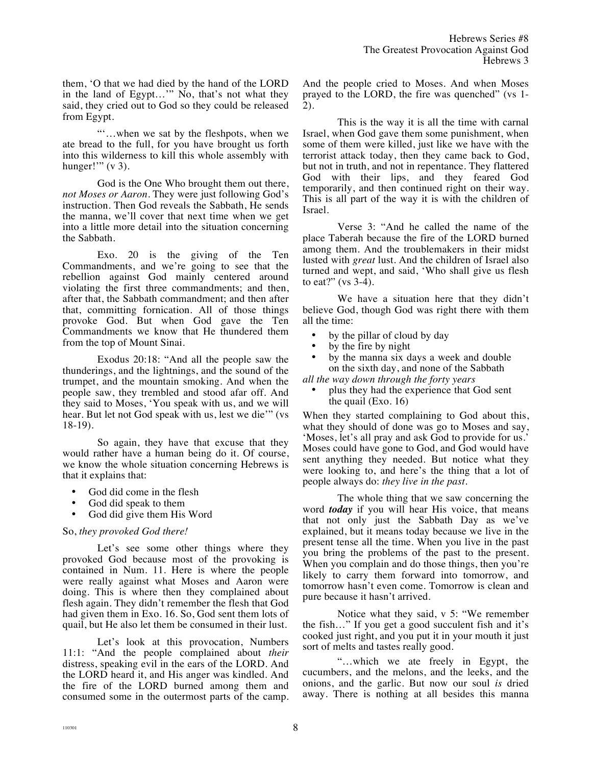them, 'O that we had died by the hand of the LORD in the land of Egypt…'" No, that's not what they said, they cried out to God so they could be released from Egypt.

"'…when we sat by the fleshpots, when we ate bread to the full, for you have brought us forth into this wilderness to kill this whole assembly with hunger!"  $(v 3)$ .

God is the One Who brought them out there, *not Moses or Aaron*. They were just following God's instruction. Then God reveals the Sabbath, He sends the manna, we'll cover that next time when we get into a little more detail into the situation concerning the Sabbath.

Exo. 20 is the giving of the Ten Commandments, and we're going to see that the rebellion against God mainly centered around violating the first three commandments; and then, after that, the Sabbath commandment; and then after that, committing fornication. All of those things provoke God. But when God gave the Ten Commandments we know that He thundered them from the top of Mount Sinai.

Exodus 20:18: "And all the people saw the thunderings, and the lightnings, and the sound of the trumpet, and the mountain smoking. And when the people saw, they trembled and stood afar off. And they said to Moses, 'You speak with us, and we will hear. But let not God speak with us, lest we die'" (vs 18-19).

So again, they have that excuse that they would rather have a human being do it. Of course, we know the whole situation concerning Hebrews is that it explains that:

- God did come in the flesh
- God did speak to them
- God did give them His Word

## So, *they provoked God there!*

Let's see some other things where they provoked God because most of the provoking is contained in Num. 11. Here is where the people were really against what Moses and Aaron were doing. This is where then they complained about flesh again. They didn't remember the flesh that God had given them in Exo. 16. So, God sent them lots of quail, but He also let them be consumed in their lust.

Let's look at this provocation, Numbers 11:1: "And the people complained about *their* distress, speaking evil in the ears of the LORD. And the LORD heard it, and His anger was kindled. And the fire of the LORD burned among them and consumed some in the outermost parts of the camp. And the people cried to Moses. And when Moses prayed to the LORD, the fire was quenched" (vs 1- 2).

This is the way it is all the time with carnal Israel, when God gave them some punishment, when some of them were killed, just like we have with the terrorist attack today, then they came back to God, but not in truth, and not in repentance. They flattered God with their lips, and they feared God temporarily, and then continued right on their way. This is all part of the way it is with the children of Israel.

Verse 3: "And he called the name of the place Taberah because the fire of the LORD burned among them. And the troublemakers in their midst lusted with *great* lust. And the children of Israel also turned and wept, and said, 'Who shall give us flesh to eat?" (vs 3-4).

We have a situation here that they didn't believe God, though God was right there with them all the time:

- by the pillar of cloud by day
- by the fire by night
- by the manna six days a week and double on the sixth day, and none of the Sabbath

*all the way down through the forty years*

• plus they had the experience that God sent the quail (Exo. 16)

When they started complaining to God about this, what they should of done was go to Moses and say, 'Moses, let's all pray and ask God to provide for us.' Moses could have gone to God, and God would have sent anything they needed. But notice what they were looking to, and here's the thing that a lot of people always do: *they live in the past*.

The whole thing that we saw concerning the word *today* if you will hear His voice, that means that not only just the Sabbath Day as we've explained, but it means today because we live in the present tense all the time. When you live in the past you bring the problems of the past to the present. When you complain and do those things, then you're likely to carry them forward into tomorrow, and tomorrow hasn't even come. Tomorrow is clean and pure because it hasn't arrived.

Notice what they said, v 5: "We remember the fish…" If you get a good succulent fish and it's cooked just right, and you put it in your mouth it just sort of melts and tastes really good.

"…which we ate freely in Egypt, the cucumbers, and the melons, and the leeks, and the onions, and the garlic. But now our soul *is* dried away. There is nothing at all besides this manna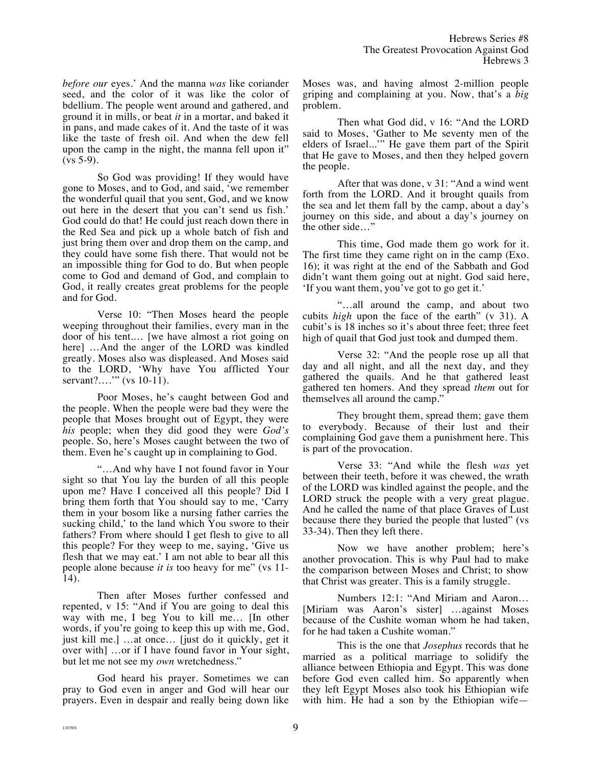*before our* eyes.' And the manna *was* like coriander seed, and the color of it was like the color of bdellium. The people went around and gathered, and ground it in mills, or beat *it* in a mortar, and baked it in pans, and made cakes of it. And the taste of it was like the taste of fresh oil. And when the dew fell upon the camp in the night, the manna fell upon it"  $(vs 5-9)$ .

So God was providing! If they would have gone to Moses, and to God, and said, 'we remember the wonderful quail that you sent, God, and we know out here in the desert that you can't send us fish.' God could do that! He could just reach down there in the Red Sea and pick up a whole batch of fish and just bring them over and drop them on the camp, and they could have some fish there. That would not be an impossible thing for God to do. But when people come to God and demand of God, and complain to God, it really creates great problems for the people and for God.

Verse 10: "Then Moses heard the people weeping throughout their families, every man in the door of his tent.… [we have almost a riot going on here] …And the anger of the LORD was kindled greatly. Moses also was displeased. And Moses said to the LORD, 'Why have You afflicted Your servant?...." (vs 10-11).

Poor Moses, he's caught between God and the people. When the people were bad they were the people that Moses brought out of Egypt, they were *his* people; when they did good they were *God's* people. So, here's Moses caught between the two of them. Even he's caught up in complaining to God.

"…And why have I not found favor in Your sight so that You lay the burden of all this people upon me? Have I conceived all this people? Did I bring them forth that You should say to me, 'Carry them in your bosom like a nursing father carries the sucking child,' to the land which You swore to their fathers? From where should I get flesh to give to all this people? For they weep to me, saying, 'Give us flesh that we may eat.' I am not able to bear all this people alone because *it is* too heavy for me" (vs 11- 14).

Then after Moses further confessed and repented, v 15: "And if You are going to deal this way with me, I beg You to kill me… [In other words, if you're going to keep this up with me, God, just kill me.] …at once… [just do it quickly, get it over with] …or if I have found favor in Your sight, but let me not see my *own* wretchedness."

God heard his prayer. Sometimes we can pray to God even in anger and God will hear our prayers. Even in despair and really being down like Moses was, and having almost 2-million people griping and complaining at you. Now, that's a *big* problem.

Then what God did, v 16: "And the LORD said to Moses, 'Gather to Me seventy men of the elders of Israel...'" He gave them part of the Spirit that He gave to Moses, and then they helped govern the people.

After that was done, v 31: "And a wind went forth from the LORD. And it brought quails from the sea and let them fall by the camp, about a day's journey on this side, and about a day's journey on the other side…"

This time, God made them go work for it. The first time they came right on in the camp (Exo. 16); it was right at the end of the Sabbath and God didn't want them going out at night. God said here, 'If you want them, you've got to go get it.'

"…all around the camp, and about two cubits *high* upon the face of the earth" (v 31). A cubit's is 18 inches so it's about three feet; three feet high of quail that God just took and dumped them.

Verse 32: "And the people rose up all that day and all night, and all the next day, and they gathered the quails. And he that gathered least gathered ten homers. And they spread *them* out for themselves all around the camp."

They brought them, spread them; gave them to everybody. Because of their lust and their complaining God gave them a punishment here. This is part of the provocation.

Verse 33: "And while the flesh *was* yet between their teeth, before it was chewed, the wrath of the LORD was kindled against the people, and the LORD struck the people with a very great plague. And he called the name of that place Graves of Lust because there they buried the people that lusted" (vs 33-34). Then they left there.

Now we have another problem; here's another provocation. This is why Paul had to make the comparison between Moses and Christ; to show that Christ was greater. This is a family struggle.

Numbers 12:1: "And Miriam and Aaron… [Miriam was Aaron's sister] …against Moses because of the Cushite woman whom he had taken, for he had taken a Cushite woman."

This is the one that *Josephus* records that he married as a political marriage to solidify the alliance between Ethiopia and Egypt. This was done before God even called him. So apparently when they left Egypt Moses also took his Ethiopian wife with him. He had a son by the Ethiopian wife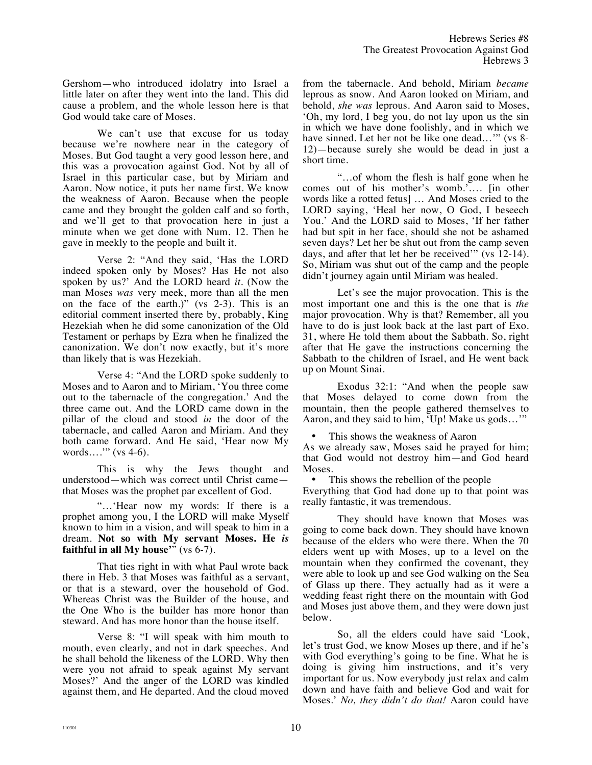Gershom—who introduced idolatry into Israel a little later on after they went into the land. This did cause a problem, and the whole lesson here is that God would take care of Moses.

We can't use that excuse for us today because we're nowhere near in the category of Moses. But God taught a very good lesson here, and this was a provocation against God. Not by all of Israel in this particular case, but by Miriam and Aaron. Now notice, it puts her name first. We know the weakness of Aaron. Because when the people came and they brought the golden calf and so forth, and we'll get to that provocation here in just a minute when we get done with Num. 12. Then he gave in meekly to the people and built it.

Verse 2: "And they said, 'Has the LORD indeed spoken only by Moses? Has He not also spoken by us?' And the LORD heard *it*. (Now the man Moses *was* very meek, more than all the men on the face of the earth.)" (vs 2-3). This is an editorial comment inserted there by, probably, King Hezekiah when he did some canonization of the Old Testament or perhaps by Ezra when he finalized the canonization. We don't now exactly, but it's more than likely that is was Hezekiah.

Verse 4: "And the LORD spoke suddenly to Moses and to Aaron and to Miriam, 'You three come out to the tabernacle of the congregation.' And the three came out. And the LORD came down in the pillar of the cloud and stood *in* the door of the tabernacle, and called Aaron and Miriam. And they both came forward. And He said, 'Hear now My words….'" (vs 4-6).

This is why the Jews thought and understood—which was correct until Christ came that Moses was the prophet par excellent of God.

"…'Hear now my words: If there is a prophet among you, I the LORD will make Myself known to him in a vision, and will speak to him in a dream. **Not so with My servant Moses. He** *is* **faithful in all My house**<sup> $\ddot{m}$ </sup> (vs 6-7).

That ties right in with what Paul wrote back there in Heb. 3 that Moses was faithful as a servant, or that is a steward, over the household of God. Whereas Christ was the Builder of the house, and the One Who is the builder has more honor than steward. And has more honor than the house itself.

Verse 8: "I will speak with him mouth to mouth, even clearly, and not in dark speeches. And he shall behold the likeness of the LORD. Why then were you not afraid to speak against My servant Moses?' And the anger of the LORD was kindled against them, and He departed. And the cloud moved from the tabernacle. And behold, Miriam *became* leprous as snow. And Aaron looked on Miriam, and behold, *she was* leprous. And Aaron said to Moses, 'Oh, my lord, I beg you, do not lay upon us the sin in which we have done foolishly, and in which we have sinned. Let her not be like one dead..." (vs 8-12)—because surely she would be dead in just a short time.

"…of whom the flesh is half gone when he comes out of his mother's womb.'…. [in other words like a rotted fetus] … And Moses cried to the LORD saying, 'Heal her now, O God, I beseech You.' And the LORD said to Moses, 'If her father had but spit in her face, should she not be ashamed seven days? Let her be shut out from the camp seven days, and after that let her be received'" (vs 12-14). So, Miriam was shut out of the camp and the people didn't journey again until Miriam was healed.

Let's see the major provocation. This is the most important one and this is the one that is *the* major provocation. Why is that? Remember, all you have to do is just look back at the last part of Exo. 31, where He told them about the Sabbath. So, right after that He gave the instructions concerning the Sabbath to the children of Israel, and He went back up on Mount Sinai.

Exodus 32:1: "And when the people saw that Moses delayed to come down from the mountain, then the people gathered themselves to Aaron, and they said to him, 'Up! Make us gods…'"

This shows the weakness of Aaron

As we already saw, Moses said he prayed for him; that God would not destroy him—and God heard Moses.

This shows the rebellion of the people

Everything that God had done up to that point was really fantastic, it was tremendous.

They should have known that Moses was going to come back down. They should have known because of the elders who were there. When the 70 elders went up with Moses, up to a level on the mountain when they confirmed the covenant, they were able to look up and see God walking on the Sea of Glass up there. They actually had as it were a wedding feast right there on the mountain with God and Moses just above them, and they were down just below.

So, all the elders could have said 'Look, let's trust God, we know Moses up there, and if he's with God everything's going to be fine. What he is doing is giving him instructions, and it's very important for us. Now everybody just relax and calm down and have faith and believe God and wait for Moses.' *No, they didn't do that!* Aaron could have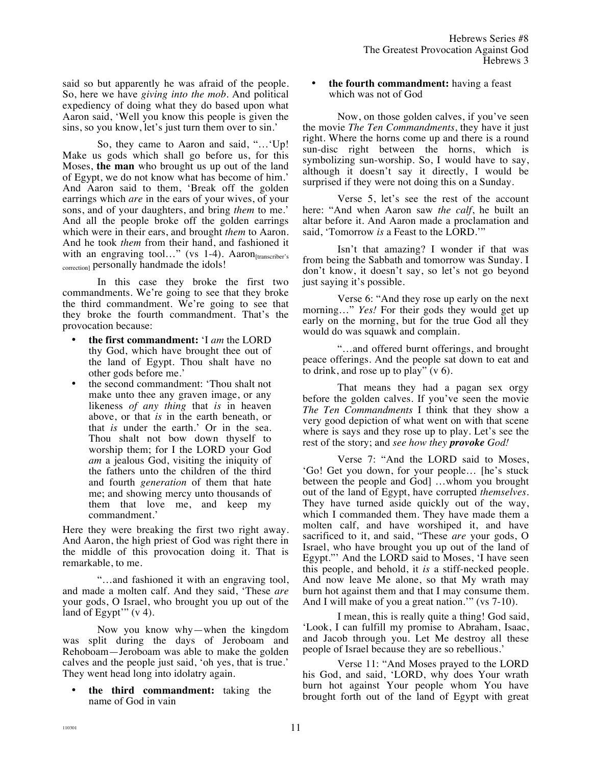said so but apparently he was afraid of the people. So, here we have *giving into the mob*. And political expediency of doing what they do based upon what Aaron said, 'Well you know this people is given the sins, so you know, let's just turn them over to sin.'

So, they came to Aaron and said, "…'Up! Make us gods which shall go before us, for this Moses, **the man** who brought us up out of the land of Egypt, we do not know what has become of him.' And Aaron said to them, 'Break off the golden earrings which *are* in the ears of your wives, of your sons, and of your daughters, and bring *them* to me.' And all the people broke off the golden earrings which were in their ears, and brought *them* to Aaron. And he took *them* from their hand, and fashioned it with an engraving tool..." (vs 1-4). Aaron<sub>[transcriber's</sub> correction] personally handmade the idols!

In this case they broke the first two commandments. We're going to see that they broke the third commandment. We're going to see that they broke the fourth commandment. That's the provocation because:

- **the first commandment:** 'I *am* the LORD thy God, which have brought thee out of the land of Egypt. Thou shalt have no other gods before me.'
- the second commandment: 'Thou shalt not make unto thee any graven image, or any likeness *of any thing* that *is* in heaven above, or that *is* in the earth beneath, or that *is* under the earth.' Or in the sea. Thou shalt not bow down thyself to worship them; for I the LORD your God *am* a jealous God, visiting the iniquity of the fathers unto the children of the third and fourth *generation* of them that hate me; and showing mercy unto thousands of them that love me, and keep my commandment.'

Here they were breaking the first two right away. And Aaron, the high priest of God was right there in the middle of this provocation doing it. That is remarkable, to me.

"…and fashioned it with an engraving tool, and made a molten calf. And they said, 'These *are* your gods, O Israel, who brought you up out of the land of Egypt'"  $(v 4)$ .

Now you know why—when the kingdom was split during the days of Jeroboam and Rehoboam—Jeroboam was able to make the golden calves and the people just said, 'oh yes, that is true.' They went head long into idolatry again.

• **the third commandment:** taking the name of God in vain

• **the fourth commandment:** having a feast which was not of God

Now, on those golden calves, if you've seen the movie *The Ten Commandments*, they have it just right. Where the horns come up and there is a round sun-disc right between the horns, which is symbolizing sun-worship. So, I would have to say, although it doesn't say it directly, I would be surprised if they were not doing this on a Sunday.

Verse 5, let's see the rest of the account here: "And when Aaron saw *the calf*, he built an altar before it. And Aaron made a proclamation and said, 'Tomorrow *is* a Feast to the LORD.'"

Isn't that amazing? I wonder if that was from being the Sabbath and tomorrow was Sunday. I don't know, it doesn't say, so let's not go beyond just saying it's possible.

Verse 6: "And they rose up early on the next morning..." *Yes!* For their gods they would get up early on the morning, but for the true God all they would do was squawk and complain.

"…and offered burnt offerings, and brought peace offerings. And the people sat down to eat and to drink, and rose up to play"  $(v 6)$ .

That means they had a pagan sex orgy before the golden calves. If you've seen the movie *The Ten Commandments* I think that they show a very good depiction of what went on with that scene where is says and they rose up to play. Let's see the rest of the story; and *see how they provoke God!* 

Verse 7: "And the LORD said to Moses, 'Go! Get you down, for your people… [he's stuck between the people and God] …whom you brought out of the land of Egypt, have corrupted *themselves*. They have turned aside quickly out of the way, which I commanded them. They have made them a molten calf, and have worshiped it, and have sacrificed to it, and said, "These *are* your gods, O Israel, who have brought you up out of the land of Egypt."' And the LORD said to Moses, 'I have seen this people, and behold, it *is* a stiff-necked people. And now leave Me alone, so that My wrath may burn hot against them and that I may consume them. And I will make of you a great nation.'" (vs 7-10).

I mean, this is really quite a thing! God said, 'Look, I can fulfill my promise to Abraham, Isaac, and Jacob through you. Let Me destroy all these people of Israel because they are so rebellious.'

Verse 11: "And Moses prayed to the LORD his God, and said, 'LORD, why does Your wrath burn hot against Your people whom You have brought forth out of the land of Egypt with great